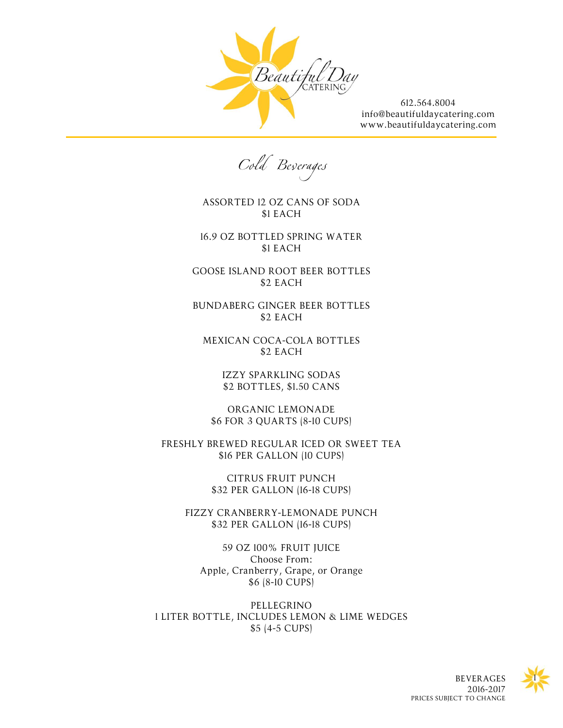

612.564.8004 [info@beautifuldaycatering.com](mailto:info@beautifuldaycatering.com?subject=Catering%20Inquiry) [www.beautifuldaycatering.com](http://www.beautifuldaycatering.com/)

Cold Beserages

ASSORTED 12 OZ CANS OF SODA \$1 EACH

16.9 OZ BOTTLED SPRING WATER \$1 EACH

GOOSE ISLAND ROOT BEER BOTTLES \$2 EACH

BUNDABERG GINGER BEER BOTTLES \$2 EACH

MEXICAN COCA-COLA BOTTLES \$2 EACH

> IZZY SPARKLING SODAS \$2 BOTTLES, \$1.50 CANS

ORGANIC LEMONADE \$6 FOR 3 QUARTS (8-10 CUPS)

FRESHLY BREWED REGULAR ICED OR SWEET TEA \$16 PER GALLON (10 CUPS)

> CITRUS FRUIT PUNCH \$32 PER GALLON (16-18 CUPS)

FIZZY CRANBERRY-LEMONADE PUNCH \$32 PER GALLON (16-18 CUPS)

59 OZ 100% FRUIT JUICE Choose From: Apple, Cranberry, Grape, or Orange \$6 (8-10 CUPS)

PELLEGRINO 1 LITER BOTTLE, INCLUDES LEMON & LIME WEDGES \$5 (4-5 CUPS)

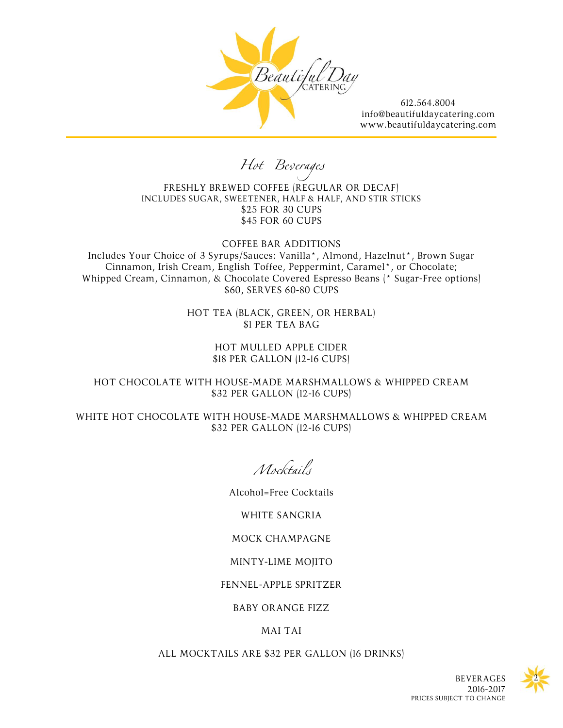

612.564.8004 [info@beautifuldaycatering.com](mailto:info@beautifuldaycatering.com?subject=Catering%20Inquiry) [www.beautifuldaycatering.com](http://www.beautifuldaycatering.com/)

Hot Beverages

FRESHLY BREWED COFFEE (REGULAR OR DECAF) INCLUDES SUGAR, SWEETENER, HALF & HALF, AND STIR STICKS \$25 FOR 30 CUPS \$45 FOR 60 CUPS

COFFEE BAR ADDITIONS Includes Your Choice of 3 Syrups/Sauces: Vanilla\*, Almond, Hazelnut\*, Brown Sugar Cinnamon, Irish Cream, English Toffee, Peppermint, Caramel\*, or Chocolate; Whipped Cream, Cinnamon, & Chocolate Covered Espresso Beans (\* Sugar-Free options) \$60, SERVES 60-80 CUPS

> HOT TEA (BLACK, GREEN, OR HERBAL) \$1 PER TEA BAG

> > HOT MULLED APPLE CIDER \$18 PER GALLON (12-16 CUPS)

HOT CHOCOLATE WITH HOUSE-MADE MARSHMALLOWS & WHIPPED CREAM \$32 PER GALLON (12-16 CUPS)

WHITE HOT CHOCOLATE WITH HOUSE-MADE MARSHMALLOWS & WHIPPED CREAM \$32 PER GALLON (12-16 CUPS)

Mocktails

Alcohol=Free Cocktails

WHITE SANGRIA

MOCK CHAMPAGNE

MINTY-LIME MOJITO

FENNEL-APPLE SPRITZER

BABY ORANGE FIZZ

## MAI TAI

ALL MOCKTAILS ARE \$32 PER GALLON (16 DRINKS)